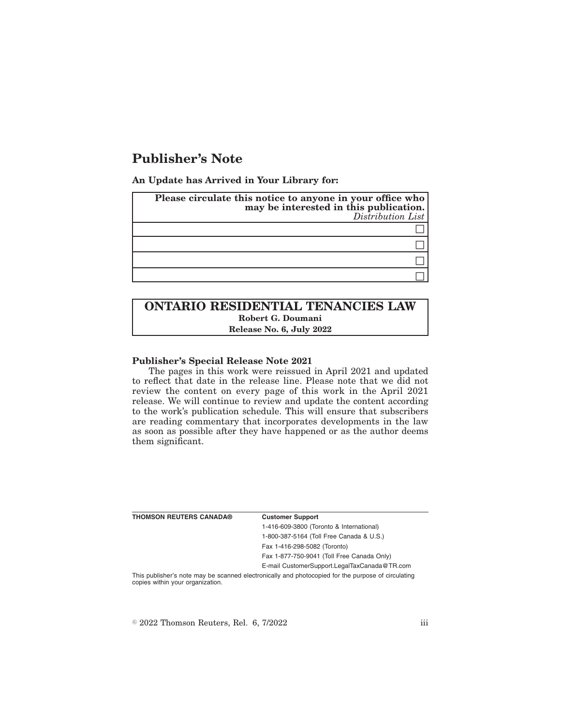# **Publisher's Note**

**An Update has Arrived in Your Library for:**

| Please circulate this notice to anyone in your office who<br>may be interested in this publication.<br>Distribution List |
|--------------------------------------------------------------------------------------------------------------------------|
|                                                                                                                          |
|                                                                                                                          |
|                                                                                                                          |
|                                                                                                                          |

## **ONTARIO RESIDENTIAL TENANCIES LAW Robert G. Doumani Release No. 6, July 2022**

### **Publisher's Special Release Note 2021**

The pages in this work were reissued in April 2021 and updated to reflect that date in the release line. Please note that we did not review the content on every page of this work in the April 2021 release. We will continue to review and update the content according to the work's publication schedule. This will ensure that subscribers are reading commentary that incorporates developments in the law as soon as possible after they have happened or as the author deems them significant.

| <b>THOMSON REUTERS CANADA®</b>   | <b>Customer Support</b>                                                                            |
|----------------------------------|----------------------------------------------------------------------------------------------------|
|                                  | 1-416-609-3800 (Toronto & International)                                                           |
|                                  | 1-800-387-5164 (Toll Free Canada & U.S.)                                                           |
|                                  | Fax 1-416-298-5082 (Toronto)                                                                       |
|                                  | Fax 1-877-750-9041 (Toll Free Canada Only)                                                         |
|                                  | E-mail CustomerSupport.LegalTaxCanada@TR.com                                                       |
| copies within your organization. | This publisher's note may be scanned electronically and photocopied for the purpose of circulating |

 $\textdegree$  2022 Thomson Reuters, Rel. 6, 7/2022 iii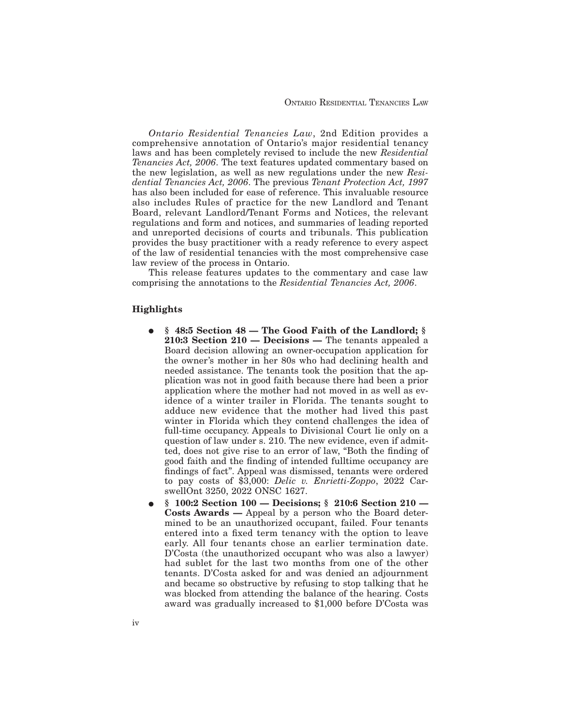*Ontario Residential Tenancies Law*, 2nd Edition provides a comprehensive annotation of Ontario's major residential tenancy laws and has been completely revised to include the new *Residential Tenancies Act, 2006*. The text features updated commentary based on the new legislation, as well as new regulations under the new *Residential Tenancies Act, 2006*. The previous *Tenant Protection Act, 1997* has also been included for ease of reference. This invaluable resource also includes Rules of practice for the new Landlord and Tenant Board, relevant Landlord/Tenant Forms and Notices, the relevant regulations and form and notices, and summaries of leading reported and unreported decisions of courts and tribunals. This publication provides the busy practitioner with a ready reference to every aspect of the law of residential tenancies with the most comprehensive case law review of the process in Ontario.

This release features updates to the commentary and case law comprising the annotations to the *Residential Tenancies Act, 2006*.

#### **Highlights**

- E **§ 48:5 Section 48 The Good Faith of the Landlord; § 210:3 Section 210 — Decisions —** The tenants appealed a Board decision allowing an owner-occupation application for the owner's mother in her 80s who had declining health and needed assistance. The tenants took the position that the application was not in good faith because there had been a prior application where the mother had not moved in as well as evidence of a winter trailer in Florida. The tenants sought to adduce new evidence that the mother had lived this past winter in Florida which they contend challenges the idea of full-time occupancy. Appeals to Divisional Court lie only on a question of law under s. 210. The new evidence, even if admitted, does not give rise to an error of law, "Both the finding of good faith and the finding of intended fulltime occupancy are findings of fact". Appeal was dismissed, tenants were ordered to pay costs of \$3,000: *Delic v. Enrietti-Zoppo*, 2022 CarswellOnt 3250, 2022 ONSC 1627.
- E **§ 100:2 Section 100 Decisions; § 210:6 Section 210 — Costs Awards —** Appeal by a person who the Board determined to be an unauthorized occupant, failed. Four tenants entered into a fixed term tenancy with the option to leave early. All four tenants chose an earlier termination date. D'Costa (the unauthorized occupant who was also a lawyer) had sublet for the last two months from one of the other tenants. D'Costa asked for and was denied an adjournment and became so obstructive by refusing to stop talking that he was blocked from attending the balance of the hearing. Costs award was gradually increased to \$1,000 before D'Costa was